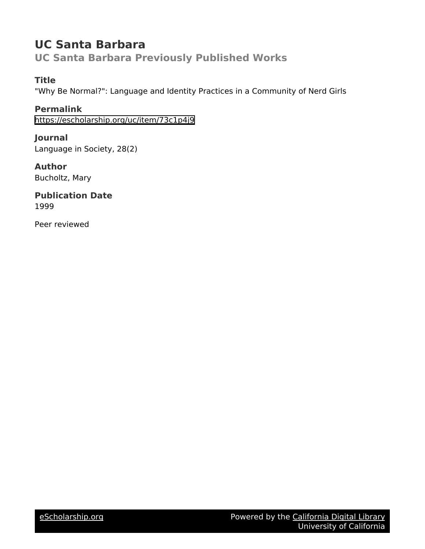# **UC Santa Barbara**

**UC Santa Barbara Previously Published Works**

# **Title**

"Why Be Normal?": Language and Identity Practices in a Community of Nerd Girls

**Permalink** <https://escholarship.org/uc/item/73c1p4j9>

**Journal** Language in Society, 28(2)

**Author** Bucholtz, Mary

**Publication Date** 1999

Peer reviewed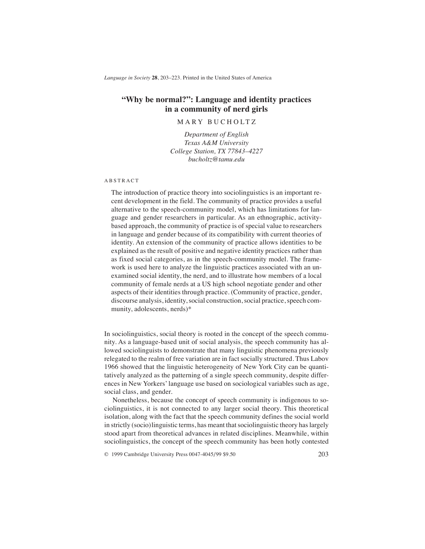# **"Why be normal?": Language and identity practices in a community of nerd girls**

### MARY BUCHOLTZ

*Department of English Texas A&M University College Station, TX 77843–4227 bucholtz@tamu.edu*

#### ABSTRACT

The introduction of practice theory into sociolinguistics is an important recent development in the field. The community of practice provides a useful alternative to the speech-community model, which has limitations for language and gender researchers in particular. As an ethnographic, activitybased approach, the community of practice is of special value to researchers in language and gender because of its compatibility with current theories of identity. An extension of the community of practice allows identities to be explained as the result of positive and negative identity practices rather than as fixed social categories, as in the speech-community model. The framework is used here to analyze the linguistic practices associated with an unexamined social identity, the nerd, and to illustrate how members of a local community of female nerds at a US high school negotiate gender and other aspects of their identities through practice. (Community of practice, gender, discourse analysis, identity, social construction, social practice, speech community, adolescents, nerds)\*

In sociolinguistics, social theory is rooted in the concept of the speech community. As a language-based unit of social analysis, the speech community has allowed sociolinguists to demonstrate that many linguistic phenomena previously relegated to the realm of free variation are in fact socially structured. Thus Labov 1966 showed that the linguistic heterogeneity of New York City can be quantitatively analyzed as the patterning of a single speech community, despite differences in New Yorkers' language use based on sociological variables such as age, social class, and gender.

Nonetheless, because the concept of speech community is indigenous to sociolinguistics, it is not connected to any larger social theory. This theoretical isolation, along with the fact that the speech community defines the social world in strictly (socio)linguistic terms, has meant that sociolinguistic theory has largely stood apart from theoretical advances in related disciplines. Meanwhile, within sociolinguistics, the concept of the speech community has been hotly contested

© 1999 Cambridge University Press 0047-4045/99 \$9.50 203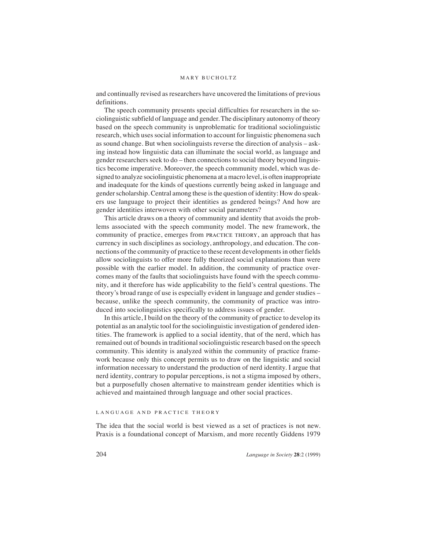and continually revised as researchers have uncovered the limitations of previous definitions.

The speech community presents special difficulties for researchers in the sociolinguistic subfield of language and gender. The disciplinary autonomy of theory based on the speech community is unproblematic for traditional sociolinguistic research, which uses social information to account for linguistic phenomena such as sound change. But when sociolinguists reverse the direction of analysis – asking instead how linguistic data can illuminate the social world, as language and gender researchers seek to do – then connections to social theory beyond linguistics become imperative. Moreover, the speech community model, which was designed to analyze sociolinguistic phenomena at a macro level, is often inappropriate and inadequate for the kinds of questions currently being asked in language and gender scholarship. Central among these is the question of identity: How do speakers use language to project their identities as gendered beings? And how are gender identities interwoven with other social parameters?

This article draws on a theory of community and identity that avoids the problems associated with the speech community model. The new framework, the community of practice, emerges from PRACTICE THEORY, an approach that has currency in such disciplines as sociology, anthropology, and education. The connections of the community of practice to these recent developments in other fields allow sociolinguists to offer more fully theorized social explanations than were possible with the earlier model. In addition, the community of practice overcomes many of the faults that sociolinguists have found with the speech community, and it therefore has wide applicability to the field's central questions. The theory's broad range of use is especially evident in language and gender studies – because, unlike the speech community, the community of practice was introduced into sociolinguistics specifically to address issues of gender.

In this article, I build on the theory of the community of practice to develop its potential as an analytic tool for the sociolinguistic investigation of gendered identities. The framework is applied to a social identity, that of the nerd, which has remained out of bounds in traditional sociolinguistic research based on the speech community. This identity is analyzed within the community of practice framework because only this concept permits us to draw on the linguistic and social information necessary to understand the production of nerd identity. I argue that nerd identity, contrary to popular perceptions, is not a stigma imposed by others, but a purposefully chosen alternative to mainstream gender identities which is achieved and maintained through language and other social practices.

## LANGUAGE AND PRACTICE THEORY

The idea that the social world is best viewed as a set of practices is not new. Praxis is a foundational concept of Marxism, and more recently Giddens 1979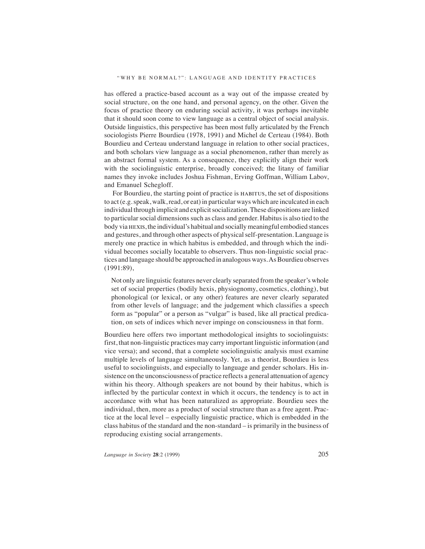has offered a practice-based account as a way out of the impasse created by social structure, on the one hand, and personal agency, on the other. Given the focus of practice theory on enduring social activity, it was perhaps inevitable that it should soon come to view language as a central object of social analysis. Outside linguistics, this perspective has been most fully articulated by the French sociologists Pierre Bourdieu (1978, 1991) and Michel de Certeau (1984). Both Bourdieu and Certeau understand language in relation to other social practices, and both scholars view language as a social phenomenon, rather than merely as an abstract formal system. As a consequence, they explicitly align their work with the sociolinguistic enterprise, broadly conceived; the litany of familiar names they invoke includes Joshua Fishman, Erving Goffman, William Labov, and Emanuel Schegloff.

For Bourdieu, the starting point of practice is HABITUS, the set of dispositions to act (e.g. speak, walk, read, or eat) in particular ways which are inculcated in each individual through implicit and explicit socialization. These dispositions are linked to particular social dimensions such as class and gender. Habitus is also tied to the body via HEXIS, the individual's habitual and socially meaningful embodied stances and gestures, and through other aspects of physical self-presentation. Language is merely one practice in which habitus is embedded, and through which the individual becomes socially locatable to observers. Thus non-linguistic social practices and language should be approached in analogous ways.As Bourdieu observes (1991:89),

Not only are linguistic features never clearly separated from the speaker's whole set of social properties (bodily hexis, physiognomy, cosmetics, clothing), but phonological (or lexical, or any other) features are never clearly separated from other levels of language; and the judgement which classifies a speech form as "popular" or a person as "vulgar" is based, like all practical predication, on sets of indices which never impinge on consciousness in that form.

Bourdieu here offers two important methodological insights to sociolinguists: first, that non-linguistic practices may carry important linguistic information (and vice versa); and second, that a complete sociolinguistic analysis must examine multiple levels of language simultaneously. Yet, as a theorist, Bourdieu is less useful to sociolinguists, and especially to language and gender scholars. His insistence on the unconsciousness of practice reflects a general attenuation of agency within his theory. Although speakers are not bound by their habitus, which is inflected by the particular context in which it occurs, the tendency is to act in accordance with what has been naturalized as appropriate. Bourdieu sees the individual, then, more as a product of social structure than as a free agent. Practice at the local level – especially linguistic practice, which is embedded in the class habitus of the standard and the non-standard – is primarily in the business of reproducing existing social arrangements.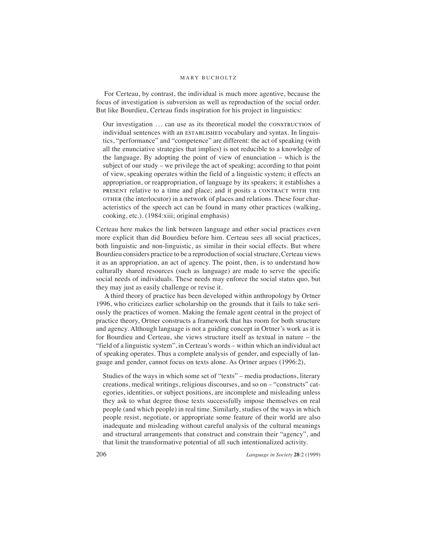For Certeau, by contrast, the individual is much more agentive, because the focus of investigation is subversion as well as reproduction of the social order. But like Bourdieu, Certeau finds inspiration for his project in linguistics:

Our investigation ... can use as its theoretical model the CONSTRUCTION of individual sentences with an ESTABLISHED vocabulary and syntax. In linguistics, "performance" and "competence" are different: the act of speaking (with all the enunciative strategies that implies) is not reducible to a knowledge of the language. By adopting the point of view of enunciation – which is the subject of our study – we privilege the act of speaking; according to that point of view, speaking operates within the field of a linguistic system; it effects an appropriation, or reappropriation, of language by its speakers; it establishes a present relative to a time and place; and it posits a CONTRACT WITH THE other (the interlocutor) in a network of places and relations. These four characteristics of the speech act can be found in many other practices (walking, cooking, etc.). (1984:xiii; original emphasis)

Certeau here makes the link between language and other social practices even more explicit than did Bourdieu before him. Certeau sees all social practices, both linguistic and non-linguistic, as similar in their social effects. But where Bourdieu considers practice to be a reproduction of social structure, Certeau views it as an appropriation, an act of agency. The point, then, is to understand how culturally shared resources (such as language) are made to serve the specific social needs of individuals. These needs may enforce the social status quo, but they may just as easily challenge or revise it.

A third theory of practice has been developed within anthropology by Ortner 1996, who criticizes earlier scholarship on the grounds that it fails to take seriously the practices of women. Making the female agent central in the project of practice theory, Ortner constructs a framework that has room for both structure and agency. Although language is not a guiding concept in Ortner's work as it is for Bourdieu and Certeau, she views structure itself as textual in nature – the "field of a linguistic system", in Certeau's words – within which an individual act of speaking operates. Thus a complete analysis of gender, and especially of language and gender, cannot focus on texts alone. As Ortner argues (1996:2),

Studies of the ways in which some set of "texts" – media productions, literary creations, medical writings, religious discourses, and so on – "constructs" categories, identities, or subject positions, are incomplete and misleading unless they ask to what degree those texts successfully impose themselves on real people (and which people) in real time. Similarly, studies of the ways in which people resist, negotiate, or appropriate some feature of their world are also inadequate and misleading without careful analysis of the cultural meanings and structural arrangements that construct and constrain their "agency", and that limit the transformative potential of all such intentionalized activity.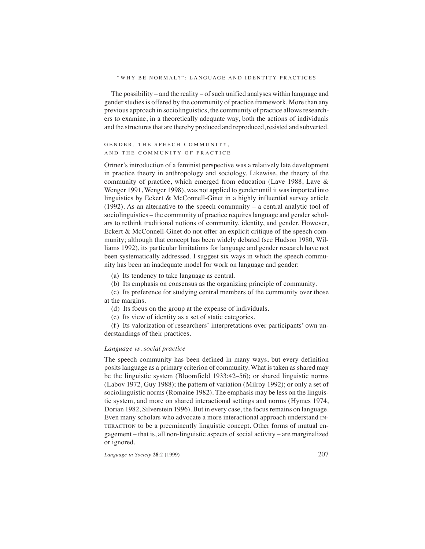The possibility – and the reality – of such unified analyses within language and gender studies is offered by the community of practice framework. More than any previous approach in sociolinguistics, the community of practice allows researchers to examine, in a theoretically adequate way, both the actions of individuals and the structures that are thereby produced and reproduced, resisted and subverted.

# GENDER, THE SPEECH COMMUNITY. AND THE COMMUNITY OF PRACTICE

Ortner's introduction of a feminist perspective was a relatively late development in practice theory in anthropology and sociology. Likewise, the theory of the community of practice, which emerged from education (Lave 1988, Lave & Wenger 1991, Wenger 1998), was not applied to gender until it was imported into linguistics by Eckert & McConnell-Ginet in a highly influential survey article (1992). As an alternative to the speech community – a central analytic tool of sociolinguistics – the community of practice requires language and gender scholars to rethink traditional notions of community, identity, and gender. However, Eckert & McConnell-Ginet do not offer an explicit critique of the speech community; although that concept has been widely debated (see Hudson 1980, Williams 1992), its particular limitations for language and gender research have not been systematically addressed. I suggest six ways in which the speech community has been an inadequate model for work on language and gender:

(a) Its tendency to take language as central.

(b) Its emphasis on consensus as the organizing principle of community.

(c) Its preference for studying central members of the community over those at the margins.

- (d) Its focus on the group at the expense of individuals.
- (e) Its view of identity as a set of static categories.

(f) Its valorization of researchers' interpretations over participants' own understandings of their practices.

# *Language vs. social practice*

The speech community has been defined in many ways, but every definition posits language as a primary criterion of community. What is taken as shared may be the linguistic system (Bloomfield 1933:42–56); or shared linguistic norms (Labov 1972, Guy 1988); the pattern of variation (Milroy 1992); or only a set of sociolinguistic norms (Romaine 1982). The emphasis may be less on the linguistic system, and more on shared interactional settings and norms (Hymes 1974, Dorian 1982, Silverstein 1996). But in every case, the focus remains on language. Even many scholars who advocate a more interactional approach understand in-TERACTION to be a preeminently linguistic concept. Other forms of mutual engagement – that is, all non-linguistic aspects of social activity – are marginalized or ignored.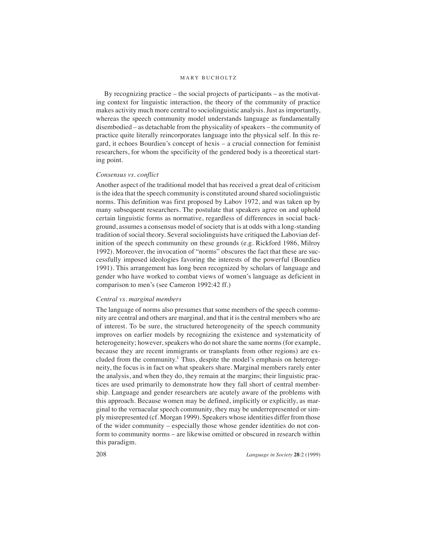By recognizing practice – the social projects of participants – as the motivating context for linguistic interaction, the theory of the community of practice makes activity much more central to sociolinguistic analysis. Just as importantly, whereas the speech community model understands language as fundamentally disembodied – as detachable from the physicality of speakers – the community of practice quite literally reincorporates language into the physical self. In this regard, it echoes Bourdieu's concept of hexis – a crucial connection for feminist researchers, for whom the specificity of the gendered body is a theoretical starting point.

# *Consensus vs. conflict*

Another aspect of the traditional model that has received a great deal of criticism is the idea that the speech community is constituted around shared sociolinguistic norms. This definition was first proposed by Labov 1972, and was taken up by many subsequent researchers. The postulate that speakers agree on and uphold certain linguistic forms as normative, regardless of differences in social background, assumes a consensus model of society that is at odds with a long-standing tradition of social theory. Several sociolinguists have critiqued the Labovian definition of the speech community on these grounds (e.g. Rickford 1986, Milroy 1992). Moreover, the invocation of "norms" obscures the fact that these are successfully imposed ideologies favoring the interests of the powerful (Bourdieu 1991). This arrangement has long been recognized by scholars of language and gender who have worked to combat views of women's language as deficient in comparison to men's (see Cameron 1992:42 ff.)

# *Central vs. marginal members*

The language of norms also presumes that some members of the speech community are central and others are marginal, and that it is the central members who are of interest. To be sure, the structured heterogeneity of the speech community improves on earlier models by recognizing the existence and systematicity of heterogeneity; however, speakers who do not share the same norms (for example, because they are recent immigrants or transplants from other regions) are excluded from the community.<sup>1</sup> Thus, despite the model's emphasis on heterogeneity, the focus is in fact on what speakers share. Marginal members rarely enter the analysis, and when they do, they remain at the margins; their linguistic practices are used primarily to demonstrate how they fall short of central membership. Language and gender researchers are acutely aware of the problems with this approach. Because women may be defined, implicitly or explicitly, as marginal to the vernacular speech community, they may be underrepresented or simply misrepresented (cf. Morgan 1999). Speakers whose identities differ from those of the wider community – especially those whose gender identities do not conform to community norms – are likewise omitted or obscured in research within this paradigm.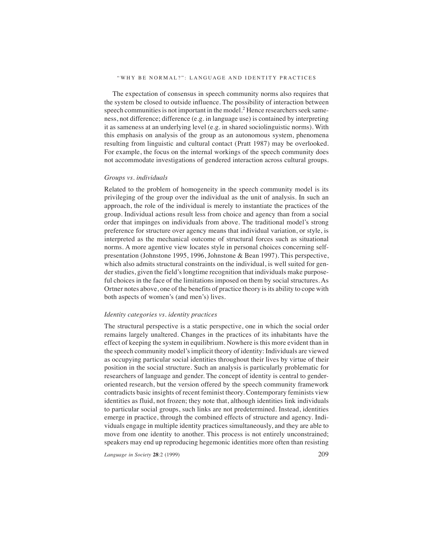The expectation of consensus in speech community norms also requires that the system be closed to outside influence. The possibility of interaction between speech communities is not important in the model.<sup>2</sup> Hence researchers seek sameness, not difference; difference (e.g. in language use) is contained by interpreting it as sameness at an underlying level (e.g. in shared sociolinguistic norms). With this emphasis on analysis of the group as an autonomous system, phenomena resulting from linguistic and cultural contact (Pratt 1987) may be overlooked. For example, the focus on the internal workings of the speech community does not accommodate investigations of gendered interaction across cultural groups.

#### *Groups vs. individuals*

Related to the problem of homogeneity in the speech community model is its privileging of the group over the individual as the unit of analysis. In such an approach, the role of the individual is merely to instantiate the practices of the group. Individual actions result less from choice and agency than from a social order that impinges on individuals from above. The traditional model's strong preference for structure over agency means that individual variation, or style, is interpreted as the mechanical outcome of structural forces such as situational norms. A more agentive view locates style in personal choices concerning selfpresentation (Johnstone 1995, 1996, Johnstone & Bean 1997). This perspective, which also admits structural constraints on the individual, is well suited for gender studies, given the field's longtime recognition that individuals make purposeful choices in the face of the limitations imposed on them by social structures. As Ortner notes above, one of the benefits of practice theory is its ability to cope with both aspects of women's (and men's) lives.

### *Identity categories vs. identity practices*

The structural perspective is a static perspective, one in which the social order remains largely unaltered. Changes in the practices of its inhabitants have the effect of keeping the system in equilibrium. Nowhere is this more evident than in the speech community model's implicit theory of identity: Individuals are viewed as occupying particular social identities throughout their lives by virtue of their position in the social structure. Such an analysis is particularly problematic for researchers of language and gender. The concept of identity is central to genderoriented research, but the version offered by the speech community framework contradicts basic insights of recent feminist theory. Contemporary feminists view identities as fluid, not frozen; they note that, although identities link individuals to particular social groups, such links are not predetermined. Instead, identities emerge in practice, through the combined effects of structure and agency. Individuals engage in multiple identity practices simultaneously, and they are able to move from one identity to another. This process is not entirely unconstrained; speakers may end up reproducing hegemonic identities more often than resisting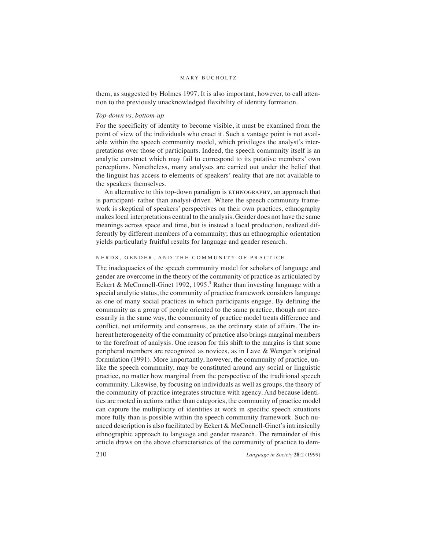them, as suggested by Holmes 1997. It is also important, however, to call attention to the previously unacknowledged flexibility of identity formation.

# *Top-down vs. bottom-up*

For the specificity of identity to become visible, it must be examined from the point of view of the individuals who enact it. Such a vantage point is not available within the speech community model, which privileges the analyst's interpretations over those of participants. Indeed, the speech community itself is an analytic construct which may fail to correspond to its putative members' own perceptions. Nonetheless, many analyses are carried out under the belief that the linguist has access to elements of speakers' reality that are not available to the speakers themselves.

An alternative to this top-down paradigm is ETHNOGRAPHY, an approach that is participant- rather than analyst-driven. Where the speech community framework is skeptical of speakers' perspectives on their own practices, ethnography makes local interpretations central to the analysis. Gender does not have the same meanings across space and time, but is instead a local production, realized differently by different members of a community; thus an ethnographic orientation yields particularly fruitful results for language and gender research.

# NERDS, GENDER, AND THE COMMUNITY OF PRACTICE

The inadequacies of the speech community model for scholars of language and gender are overcome in the theory of the community of practice as articulated by Eckert & McConnell-Ginet 1992, 1995.<sup>3</sup> Rather than investing language with a special analytic status, the community of practice framework considers language as one of many social practices in which participants engage. By defining the community as a group of people oriented to the same practice, though not necessarily in the same way, the community of practice model treats difference and conflict, not uniformity and consensus, as the ordinary state of affairs. The inherent heterogeneity of the community of practice also brings marginal members to the forefront of analysis. One reason for this shift to the margins is that some peripheral members are recognized as novices, as in Lave & Wenger's original formulation (1991). More importantly, however, the community of practice, unlike the speech community, may be constituted around any social or linguistic practice, no matter how marginal from the perspective of the traditional speech community. Likewise, by focusing on individuals as well as groups, the theory of the community of practice integrates structure with agency. And because identities are rooted in actions rather than categories, the community of practice model can capture the multiplicity of identities at work in specific speech situations more fully than is possible within the speech community framework. Such nuanced description is also facilitated by Eckert & McConnell-Ginet's intrinsically ethnographic approach to language and gender research. The remainder of this article draws on the above characteristics of the community of practice to dem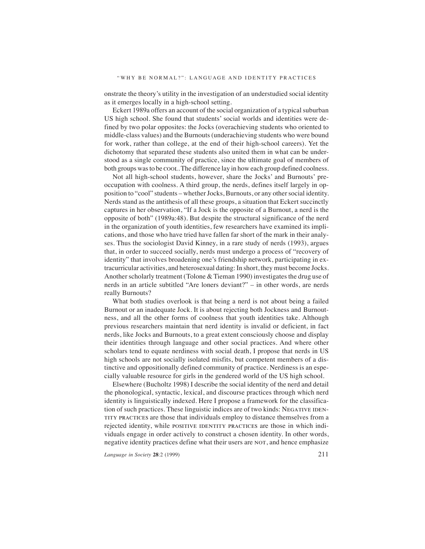onstrate the theory's utility in the investigation of an understudied social identity as it emerges locally in a high-school setting.

Eckert 1989a offers an account of the social organization of a typical suburban US high school. She found that students' social worlds and identities were defined by two polar opposites: the Jocks (overachieving students who oriented to middle-class values) and the Burnouts (underachieving students who were bound for work, rather than college, at the end of their high-school careers). Yet the dichotomy that separated these students also united them in what can be understood as a single community of practice, since the ultimate goal of members of both groups was to be COOL. The difference lay in how each group defined coolness.

Not all high-school students, however, share the Jocks' and Burnouts' preoccupation with coolness. A third group, the nerds, defines itself largely in opposition to "cool" students – whether Jocks, Burnouts, or any other social identity. Nerds stand as the antithesis of all these groups, a situation that Eckert succinctly captures in her observation, "If a Jock is the opposite of a Burnout, a nerd is the opposite of both" (1989a:48). But despite the structural significance of the nerd in the organization of youth identities, few researchers have examined its implications, and those who have tried have fallen far short of the mark in their analyses. Thus the sociologist David Kinney, in a rare study of nerds (1993), argues that, in order to succeed socially, nerds must undergo a process of "recovery of identity" that involves broadening one's friendship network, participating in extracurricular activities, and heterosexual dating: In short, they must become Jocks. Another scholarly treatment (Tolone & Tieman 1990) investigates the drug use of nerds in an article subtitled "Are loners deviant?" – in other words, are nerds really Burnouts?

What both studies overlook is that being a nerd is not about being a failed Burnout or an inadequate Jock. It is about rejecting both Jockness and Burnoutness, and all the other forms of coolness that youth identities take. Although previous researchers maintain that nerd identity is invalid or deficient, in fact nerds, like Jocks and Burnouts, to a great extent consciously choose and display their identities through language and other social practices. And where other scholars tend to equate nerdiness with social death, I propose that nerds in US high schools are not socially isolated misfits, but competent members of a distinctive and oppositionally defined community of practice. Nerdiness is an especially valuable resource for girls in the gendered world of the US high school.

Elsewhere (Bucholtz 1998) I describe the social identity of the nerd and detail the phonological, syntactic, lexical, and discourse practices through which nerd identity is linguistically indexed. Here I propose a framework for the classification of such practices. These linguistic indices are of two kinds: NEGATIVE IDENtity practices are those that individuals employ to distance themselves from a rejected identity, while positive identity practices are those in which individuals engage in order actively to construct a chosen identity. In other words, negative identity practices define what their users are NOT, and hence emphasize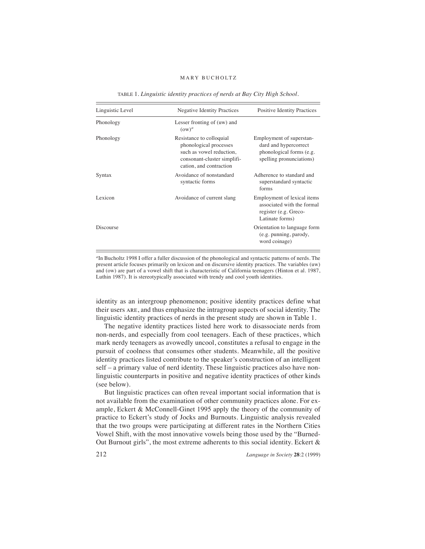| Linguistic Level | <b>Negative Identity Practices</b>                                                                                                       | <b>Positive Identity Practices</b>                                                                        |
|------------------|------------------------------------------------------------------------------------------------------------------------------------------|-----------------------------------------------------------------------------------------------------------|
| Phonology        | Lesser fronting of (uw) and<br>$(ow)^a$                                                                                                  |                                                                                                           |
| Phonology        | Resistance to colloquial<br>phonological processes<br>such as vowel reduction,<br>consonant-cluster simplifi-<br>cation, and contraction | Employment of superstan-<br>dard and hypercorrect<br>phonological forms (e.g.<br>spelling pronunciations) |
| Syntax           | Avoidance of nonstandard<br>syntactic forms                                                                                              | Adherence to standard and<br>superstandard syntactic<br>forms                                             |
| Lexicon          | Avoidance of current slang                                                                                                               | Employment of lexical items<br>associated with the formal<br>register (e.g. Greco-<br>Latinate forms)     |
| Discourse        |                                                                                                                                          | Orientation to language form<br>(e.g. punning, parody,<br>word coinage)                                   |

TABLE 1*. Linguistic identity practices of nerds at Bay City High School.*

*<sup>a</sup>*In Bucholtz 1998 I offer a fuller discussion of the phonological and syntactic patterns of nerds. The present article focuses primarily on lexicon and on discursive identity practices. The variables (uw) and (ow) are part of a vowel shift that is characteristic of California teenagers (Hinton et al. 1987, Luthin 1987). It is stereotypically associated with trendy and cool youth identities.

identity as an intergroup phenomenon; positive identity practices define what their users are, and thus emphasize the intragroup aspects of social identity. The linguistic identity practices of nerds in the present study are shown in Table 1.

The negative identity practices listed here work to disassociate nerds from non-nerds, and especially from cool teenagers. Each of these practices, which mark nerdy teenagers as avowedly uncool, constitutes a refusal to engage in the pursuit of coolness that consumes other students. Meanwhile, all the positive identity practices listed contribute to the speaker's construction of an intelligent self – a primary value of nerd identity. These linguistic practices also have nonlinguistic counterparts in positive and negative identity practices of other kinds (see below).

But linguistic practices can often reveal important social information that is not available from the examination of other community practices alone. For example, Eckert & McConnell-Ginet 1995 apply the theory of the community of practice to Eckert's study of Jocks and Burnouts. Linguistic analysis revealed that the two groups were participating at different rates in the Northern Cities Vowel Shift, with the most innovative vowels being those used by the "Burned-Out Burnout girls", the most extreme adherents to this social identity. Eckert &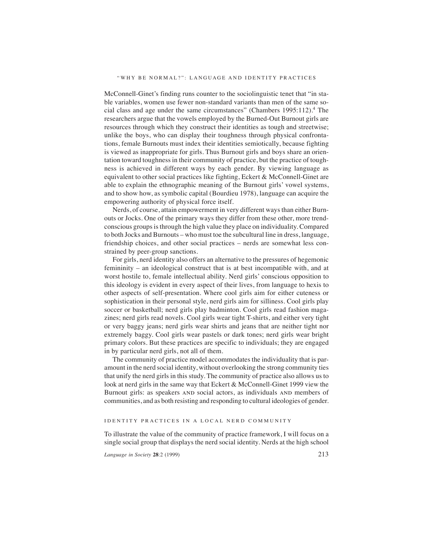McConnell-Ginet's finding runs counter to the sociolinguistic tenet that "in stable variables, women use fewer non-standard variants than men of the same social class and age under the same circumstances" (Chambers 1995:112).4 The researchers argue that the vowels employed by the Burned-Out Burnout girls are resources through which they construct their identities as tough and streetwise; unlike the boys, who can display their toughness through physical confrontations, female Burnouts must index their identities semiotically, because fighting is viewed as inappropriate for girls. Thus Burnout girls and boys share an orientation toward toughness in their community of practice, but the practice of toughness is achieved in different ways by each gender. By viewing language as equivalent to other social practices like fighting, Eckert & McConnell-Ginet are able to explain the ethnographic meaning of the Burnout girls' vowel systems, and to show how, as symbolic capital (Bourdieu 1978), language can acquire the empowering authority of physical force itself.

Nerds, of course, attain empowerment in very different ways than either Burnouts or Jocks. One of the primary ways they differ from these other, more trendconscious groups is through the high value they place on individuality. Compared to both Jocks and Burnouts – who must toe the subcultural line in dress, language, friendship choices, and other social practices – nerds are somewhat less constrained by peer-group sanctions.

For girls, nerd identity also offers an alternative to the pressures of hegemonic femininity – an ideological construct that is at best incompatible with, and at worst hostile to, female intellectual ability. Nerd girls' conscious opposition to this ideology is evident in every aspect of their lives, from language to hexis to other aspects of self-presentation. Where cool girls aim for either cuteness or sophistication in their personal style, nerd girls aim for silliness. Cool girls play soccer or basketball; nerd girls play badminton. Cool girls read fashion magazines; nerd girls read novels. Cool girls wear tight T-shirts, and either very tight or very baggy jeans; nerd girls wear shirts and jeans that are neither tight nor extremely baggy. Cool girls wear pastels or dark tones; nerd girls wear bright primary colors. But these practices are specific to individuals; they are engaged in by particular nerd girls, not all of them.

The community of practice model accommodates the individuality that is paramount in the nerd social identity, without overlooking the strong community ties that unify the nerd girls in this study. The community of practice also allows us to look at nerd girls in the same way that Eckert & McConnell-Ginet 1999 view the Burnout girls: as speakers AND social actors, as individuals AND members of communities, and as both resisting and responding to cultural ideologies of gender.

#### IDENTITY PRACTICES IN A LOCAL NERD COMMUNITY

To illustrate the value of the community of practice framework, I will focus on a single social group that displays the nerd social identity. Nerds at the high school

*Language in Society* **28**:2 (1999) 213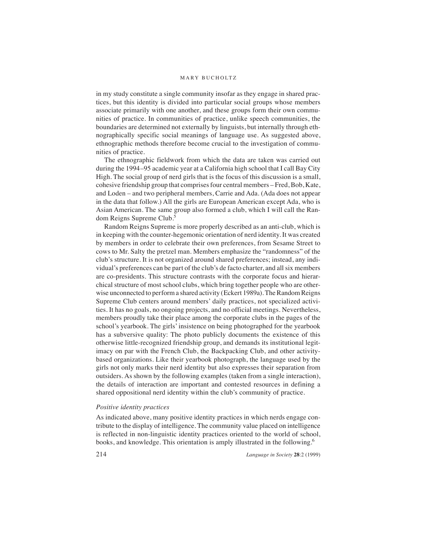in my study constitute a single community insofar as they engage in shared practices, but this identity is divided into particular social groups whose members associate primarily with one another, and these groups form their own communities of practice. In communities of practice, unlike speech communities, the boundaries are determined not externally by linguists, but internally through ethnographically specific social meanings of language use. As suggested above, ethnographic methods therefore become crucial to the investigation of communities of practice.

The ethnographic fieldwork from which the data are taken was carried out during the 1994–95 academic year at a California high school that I call Bay City High. The social group of nerd girls that is the focus of this discussion is a small, cohesive friendship group that comprises four central members – Fred, Bob, Kate, and Loden – and two peripheral members, Carrie and Ada. (Ada does not appear in the data that follow.) All the girls are European American except Ada, who is Asian American. The same group also formed a club, which I will call the Random Reigns Supreme Club.5

Random Reigns Supreme is more properly described as an anti-club, which is in keeping with the counter-hegemonic orientation of nerd identity. It was created by members in order to celebrate their own preferences, from Sesame Street to cows to Mr. Salty the pretzel man. Members emphasize the "randomness" of the club's structure. It is not organized around shared preferences; instead, any individual's preferences can be part of the club's de facto charter, and all six members are co-presidents. This structure contrasts with the corporate focus and hierarchical structure of most school clubs, which bring together people who are otherwise unconnected to perform a shared activity (Eckert 1989a). The Random Reigns Supreme Club centers around members' daily practices, not specialized activities. It has no goals, no ongoing projects, and no official meetings. Nevertheless, members proudly take their place among the corporate clubs in the pages of the school's yearbook. The girls' insistence on being photographed for the yearbook has a subversive quality: The photo publicly documents the existence of this otherwise little-recognized friendship group, and demands its institutional legitimacy on par with the French Club, the Backpacking Club, and other activitybased organizations. Like their yearbook photograph, the language used by the girls not only marks their nerd identity but also expresses their separation from outsiders. As shown by the following examples (taken from a single interaction), the details of interaction are important and contested resources in defining a shared oppositional nerd identity within the club's community of practice.

# *Positive identity practices*

As indicated above, many positive identity practices in which nerds engage contribute to the display of intelligence. The community value placed on intelligence is reflected in non-linguistic identity practices oriented to the world of school, books, and knowledge. This orientation is amply illustrated in the following.<sup>6</sup>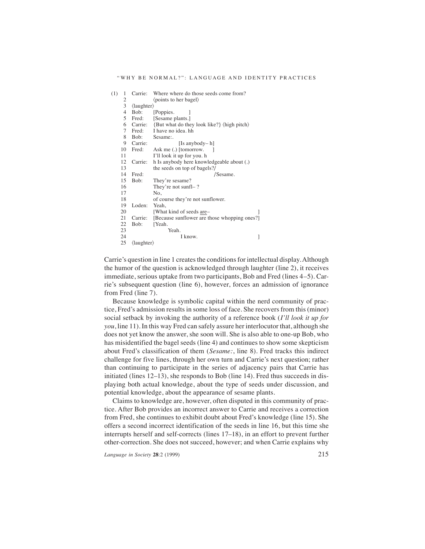| (1) | 1                       | Carrie:                      | Where where do those seeds come from?                         |
|-----|-------------------------|------------------------------|---------------------------------------------------------------|
|     | $\overline{c}$          |                              | (points to her bagel)                                         |
|     | $\overline{\mathbf{3}}$ | $\langle$ laughter $\rangle$ |                                                               |
|     | $\overline{4}$          | Bob:                         | [Poppies.                                                     |
|     | 5                       | Fred:                        | [Sesame plants.]                                              |
|     | 6                       | Carrie:                      | $\{But what do they look like? \} \langle high pitch \rangle$ |
|     | $\tau$                  | Fred:                        | I have no idea, hh                                            |
|     | 8                       | Bob:                         | Sesame:.                                                      |
|     | 9                       | Carrie:                      | [Is anybody-h]                                                |
|     | 10                      | Fred:                        | Ask me (.) [tomorrow.                                         |
|     | 11                      |                              | I'll look it up for you. h                                    |
|     | 12                      | Carrie:                      | h Is anybody here knowledgeable about (.)                     |
|     | 13                      |                              | the seeds on top of bagels?/                                  |
|     | 14                      | Fred:                        | /Sesame.                                                      |
|     | 15                      | Bob:                         | They're sesame?                                               |
|     | 16                      |                              | They're not sunfl-?                                           |
|     | 17                      |                              | No,                                                           |
|     | 18                      |                              | of course they're not sunflower.                              |
|     | 19                      | Loden:                       | Yeah,                                                         |
|     | 20                      |                              | [What kind of seeds are-                                      |
|     | 21                      | Carrie:                      | [Because sunflower are those whopping ones?]                  |
|     | 22                      | Bob:                         | [Yeah.                                                        |
|     | 23                      |                              | Yeah.                                                         |
|     | 24                      |                              | I know.                                                       |
|     | 25                      | $\langle$ laughter $\rangle$ |                                                               |
|     |                         |                              |                                                               |

Carrie's question in line 1 creates the conditions for intellectual display. Although the humor of the question is acknowledged through laughter (line 2), it receives immediate, serious uptake from two participants, Bob and Fred (lines 4–5). Carrie's subsequent question (line 6), however, forces an admission of ignorance from Fred (line 7).

Because knowledge is symbolic capital within the nerd community of practice, Fred's admission results in some loss of face. She recovers from this (minor) social setback by invoking the authority of a reference book (*I'll look it up for you*, line 11). In this way Fred can safely assure her interlocutor that, although she does not yet know the answer, she soon will. She is also able to one-up Bob, who has misidentified the bagel seeds (line 4) and continues to show some skepticism about Fred's classification of them (*Sesame:*, line 8). Fred tracks this indirect challenge for five lines, through her own turn and Carrie's next question; rather than continuing to participate in the series of adjacency pairs that Carrie has initiated (lines 12–13), she responds to Bob (line 14). Fred thus succeeds in displaying both actual knowledge, about the type of seeds under discussion, and potential knowledge, about the appearance of sesame plants.

Claims to knowledge are, however, often disputed in this community of practice. After Bob provides an incorrect answer to Carrie and receives a correction from Fred, she continues to exhibit doubt about Fred's knowledge (line 15). She offers a second incorrect identification of the seeds in line 16, but this time she interrupts herself and self-corrects (lines 17–18), in an effort to prevent further other-correction. She does not succeed, however; and when Carrie explains why

*Language in Society* **28**:2 (1999) 215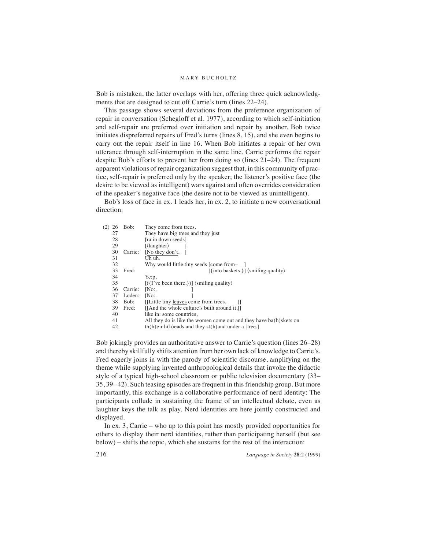Bob is mistaken, the latter overlaps with her, offering three quick acknowledgments that are designed to cut off Carrie's turn (lines 22–24).

This passage shows several deviations from the preference organization of repair in conversation (Schegloff et al. 1977), according to which self-initiation and self-repair are preferred over initiation and repair by another. Bob twice initiates dispreferred repairs of Fred's turns (lines 8, 15), and she even begins to carry out the repair itself in line 16. When Bob initiates a repair of her own utterance through self-interruption in the same line, Carrie performs the repair despite Bob's efforts to prevent her from doing so (lines 21–24). The frequent apparent violations of repair organization suggest that, in this community of practice, self-repair is preferred only by the speaker; the listener's positive face (the desire to be viewed as intelligent) wars against and often overrides consideration of the speaker's negative face (the desire not to be viewed as unintelligent).

Bob's loss of face in ex. 1 leads her, in ex. 2, to initiate a new conversational direction:

| (2) | 26 | Bob:    | They come from trees.                                               |
|-----|----|---------|---------------------------------------------------------------------|
|     | 27 |         | They have big trees and they just                                   |
|     | 28 |         | [ra:in down seeds]                                                  |
|     | 29 |         | $\langle$ laughter $\rangle$                                        |
|     | 30 | Carrie: | [No they don't.                                                     |
|     | 31 |         | Uh uh.                                                              |
|     | 32 |         | Why would little tiny seeds [come from-                             |
|     | 33 | Fred:   | $\{\{\text{into baskets.}\}\}\$ (smiling quality)                   |
|     | 34 |         | Ye:p,                                                               |
|     | 35 |         | $\left[\frac{1}{1} \text{ve been there.}\right]$ (smiling quality)  |
|     | 36 | Carrie: | [No:                                                                |
|     | 37 | Loden:  | [No:                                                                |
|     | 38 | Bob:    | [[Little tiny leaves come from trees,                               |
|     | 39 | Fred:   | [[And the whole culture's built around it,]]                        |
|     | 40 |         | like in: some countries,                                            |
|     | 41 |         | All they do is like the women come out and they have ba(h) skets on |
|     | 42 |         | th(h)eir h(h)eads and they st(h)and under a [tree,]                 |
|     |    |         |                                                                     |

Bob jokingly provides an authoritative answer to Carrie's question (lines 26–28) and thereby skillfully shifts attention from her own lack of knowledge to Carrie's. Fred eagerly joins in with the parody of scientific discourse, amplifying on the theme while supplying invented anthropological details that invoke the didactic style of a typical high-school classroom or public television documentary (33– 35, 39– 42). Such teasing episodes are frequent in this friendship group. But more importantly, this exchange is a collaborative performance of nerd identity: The participants collude in sustaining the frame of an intellectual debate, even as laughter keys the talk as play. Nerd identities are here jointly constructed and displayed.

In ex. 3, Carrie – who up to this point has mostly provided opportunities for others to display their nerd identities, rather than participating herself (but see below) – shifts the topic, which she sustains for the rest of the interaction: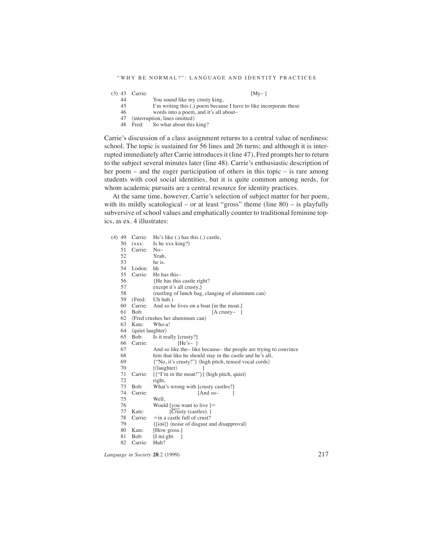|    | (3) 43 Carrie:<br>$[Mv-]$                                          |
|----|--------------------------------------------------------------------|
| 44 | You sound like my crusty king,                                     |
| 45 | I'm writing this (.) poem because I have to like incorporate these |
| 46 | words into a poem, and it's all about-                             |
| 47 | $\langle$ interruption, lines omitted $\rangle$                    |
|    | 48 Fred: So what about this king?                                  |

Carrie's discussion of a class assignment returns to a central value of nerdiness: school. The topic is sustained for 56 lines and 26 turns; and although it is interrupted immediately after Carrie introduces it (line 47), Fred prompts her to return to the subject several minutes later (line 48). Carrie's enthusiastic description of her poem – and the eager participation of others in this topic – is rare among students with cool social identities, but it is quite common among nerds, for whom academic pursuits are a central resource for identity practices.

At the same time, however, Carrie's selection of subject matter for her poem, with its mildly scatological – or at least "gross" theme (line  $80$ ) – is playfully subversive of school values and emphatically counter to traditional feminine topics, as ex. 4 illustrates:

```
(4) 49 Carrie: He's like (.) has this (.) castle,<br>50 (xxx: Is he xxx king?)
                       Is he xxx king?)
     51 Carrie: No–
     52 Yeah,<br>53 he is.
                       he is.
     54 Loden: hh
     55 Carrie: He has this-<br>56 {He has this
     56 {He has this castle right?<br>57 except it's all crusty.}
     57 except it's all crusty, 58 (rustling of lunch bag
                       \langlerustling of lunch bag, clanging of aluminum can\rangle59 (Fred: Uh huh.)
     60 Carrie: And so he lives on a boat [in the moat.]
     61 Bob: [A crusty– ]
     62 \langle Fred crushes her aluminum can\rangle63 Kate: Who:a!
     64 \langle quiet laughter\rangle65 Bob: Is it really [crusty?]
     66 Carrie: [He's– ]
     67 And so like the– like because– the people are trying to convince 68 him that like he should stay in the castle and he's all.
                       him that like he should stay in the castle and he's all,
     69 \{\text{``No, it's crust'}'\} \langle \text{high pitch, tensed vocal cords} \rangle<br>70 \{\text{laughter}\}\{\langle}laughter{\rangle}71 Carrie: [{"I'm in the moat!"} {\hbox{high pitch, quiet}}72 right,<br>73 Bob: What
                       What's wrong with [crusty castles?]<br>[And so-1]
     74 Carrie:<br>75
     75 Well,<br>76 Would
     76 Would [you want to live ] = 77 Kate: [Crusty (castles).]
                                \sqrt{\text{Cru}}sty (castles).
     78 Carrie: \frac{1}{19} = in a castle full of crust?<br>79 \{[\text{init}]\} (noise of disgust a
     79 {[i\ddot{\sigma}<sup>{[i\ddot{\sigma}}}</sub> \langle noise of disgust and disapproval\rangle<br>80 Kate: [How gross.]</sup>
                       [How gross.]
     81 Bob: [I mi:ght. ]
     82 Carrie: Huh?
```
*Language in Society* **28**:2 (1999) 217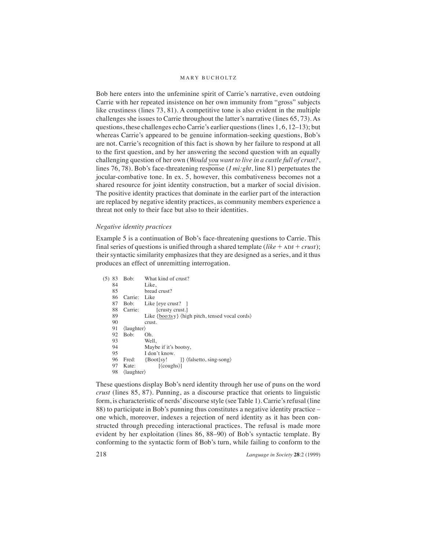### MARY BUCHOLTZ

Bob here enters into the unfeminine spirit of Carrie's narrative, even outdoing Carrie with her repeated insistence on her own immunity from "gross" subjects like crustiness (lines 73, 81). A competitive tone is also evident in the multiple challenges she issues to Carrie throughout the latter's narrative (lines 65, 73). As questions, these challenges echo Carrie's earlier questions (lines 1, 6, 12–13); but whereas Carrie's appeared to be genuine information-seeking questions, Bob's are not. Carrie's recognition of this fact is shown by her failure to respond at all to the first question, and by her answering the second question with an equally challenging question of her own (*Would you want to live in a castle full of crust?*, lines 76, 78). Bob's face-threatening response (*I mi:ght*, line 81) perpetuates the jocular-combative tone. In ex. 5, however, this combativeness becomes not a shared resource for joint identity construction, but a marker of social division. The positive identity practices that dominate in the earlier part of the interaction are replaced by negative identity practices, as community members experience a threat not only to their face but also to their identities.

# *Negative identity practices*

Example 5 is a continuation of Bob's face-threatening questions to Carrie. This final series of questions is unified through a shared template (*like*  $+$  ADJ  $+$  *crust*); their syntactic similarity emphasizes that they are designed as a series, and it thus produces an effect of unremitting interrogation.

```
(5) 83 Bob: What kind of crust?
    84 Like,
    85 bread crust?
    86 Carrie: Like
    87 Bob: Like [eye crust? ]<br>88 Carrie: [crusty crust.]
    88 Carrie: [crusty crust.]<br>89 Like {boo:tsy} (his
                    Like \{boot: \{s \} \langle high\; pitch, \; tensed\; vocal\; cords \rangle90 crust.
    91 \langlelaughter\rangle92 Bob: Oh.
    93 Well,<br>94 Mayb
    94 Maybe if it's bootsy,<br>95 I don't know.
                   I don't know.
    96 Fred: {Boot[sy!} \{falsetto, sing-song}
    97 Kate: \{\langle \text{coughs} \rangle\}98 \langlelaughter\rangle
```
These questions display Bob's nerd identity through her use of puns on the word *crust* (lines 85, 87). Punning, as a discourse practice that orients to linguistic form, is characteristic of nerds' discourse style (see Table 1). Carrie's refusal (line 88) to participate in Bob's punning thus constitutes a negative identity practice – one which, moreover, indexes a rejection of nerd identity as it has been constructed through preceding interactional practices. The refusal is made more evident by her exploitation (lines 86, 88–90) of Bob's syntactic template. By conforming to the syntactic form of Bob's turn, while failing to conform to the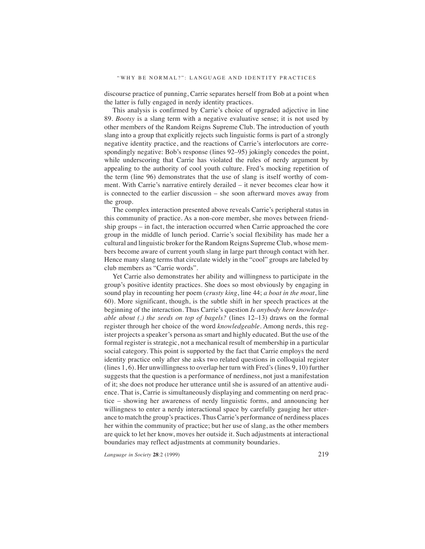discourse practice of punning, Carrie separates herself from Bob at a point when the latter is fully engaged in nerdy identity practices.

This analysis is confirmed by Carrie's choice of upgraded adjective in line 89. *Bootsy* is a slang term with a negative evaluative sense; it is not used by other members of the Random Reigns Supreme Club. The introduction of youth slang into a group that explicitly rejects such linguistic forms is part of a strongly negative identity practice, and the reactions of Carrie's interlocutors are correspondingly negative: Bob's response (lines 92–95) jokingly concedes the point, while underscoring that Carrie has violated the rules of nerdy argument by appealing to the authority of cool youth culture. Fred's mocking repetition of the term (line 96) demonstrates that the use of slang is itself worthy of comment. With Carrie's narrative entirely derailed – it never becomes clear how it is connected to the earlier discussion – she soon afterward moves away from the group.

The complex interaction presented above reveals Carrie's peripheral status in this community of practice. As a non-core member, she moves between friendship groups – in fact, the interaction occurred when Carrie approached the core group in the middle of lunch period. Carrie's social flexibility has made her a cultural and linguistic broker for the Random Reigns Supreme Club, whose members become aware of current youth slang in large part through contact with her. Hence many slang terms that circulate widely in the "cool" groups are labeled by club members as "Carrie words".

Yet Carrie also demonstrates her ability and willingness to participate in the group's positive identity practices. She does so most obviously by engaging in sound play in recounting her poem (*crusty king*, line 44; *a boat in the moat*, line 60). More significant, though, is the subtle shift in her speech practices at the beginning of the interaction. Thus Carrie's question *Is anybody here knowledgeable about (.) the seeds on top of bagels?* (lines 12–13) draws on the formal register through her choice of the word *knowledgeable*. Among nerds, this register projects a speaker's persona as smart and highly educated. But the use of the formal register is strategic, not a mechanical result of membership in a particular social category. This point is supported by the fact that Carrie employs the nerd identity practice only after she asks two related questions in colloquial register (lines 1, 6). Her unwillingness to overlap her turn with Fred's (lines 9, 10) further suggests that the question is a performance of nerdiness, not just a manifestation of it; she does not produce her utterance until she is assured of an attentive audience. That is, Carrie is simultaneously displaying and commenting on nerd practice – showing her awareness of nerdy linguistic forms, and announcing her willingness to enter a nerdy interactional space by carefully gauging her utterance to match the group's practices. Thus Carrie's performance of nerdiness places her within the community of practice; but her use of slang, as the other members are quick to let her know, moves her outside it. Such adjustments at interactional boundaries may reflect adjustments at community boundaries.

*Language in Society* **28**:2 (1999) 219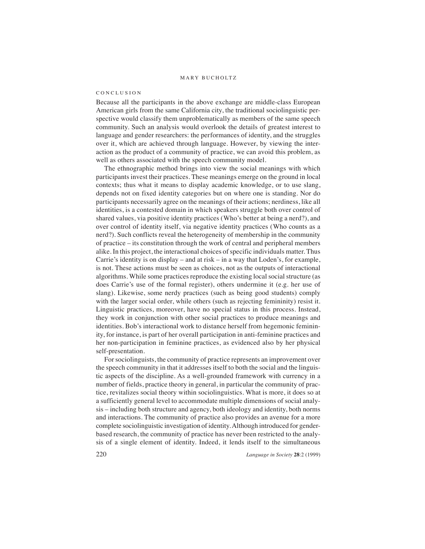#### CONCLUSION

Because all the participants in the above exchange are middle-class European American girls from the same California city, the traditional sociolinguistic perspective would classify them unproblematically as members of the same speech community. Such an analysis would overlook the details of greatest interest to language and gender researchers: the performances of identity, and the struggles over it, which are achieved through language. However, by viewing the interaction as the product of a community of practice, we can avoid this problem, as well as others associated with the speech community model.

The ethnographic method brings into view the social meanings with which participants invest their practices. These meanings emerge on the ground in local contexts; thus what it means to display academic knowledge, or to use slang, depends not on fixed identity categories but on where one is standing. Nor do participants necessarily agree on the meanings of their actions; nerdiness, like all identities, is a contested domain in which speakers struggle both over control of shared values, via positive identity practices (Who's better at being a nerd?), and over control of identity itself, via negative identity practices (Who counts as a nerd?). Such conflicts reveal the heterogeneity of membership in the community of practice – its constitution through the work of central and peripheral members alike. In this project, the interactional choices of specific individuals matter. Thus Carrie's identity is on display – and at risk – in a way that Loden's, for example, is not. These actions must be seen as choices, not as the outputs of interactional algorithms. While some practices reproduce the existing local social structure (as does Carrie's use of the formal register), others undermine it (e.g. her use of slang). Likewise, some nerdy practices (such as being good students) comply with the larger social order, while others (such as rejecting femininity) resist it. Linguistic practices, moreover, have no special status in this process. Instead, they work in conjunction with other social practices to produce meanings and identities. Bob's interactional work to distance herself from hegemonic femininity, for instance, is part of her overall participation in anti-feminine practices and her non-participation in feminine practices, as evidenced also by her physical self-presentation.

For sociolinguists, the community of practice represents an improvement over the speech community in that it addresses itself to both the social and the linguistic aspects of the discipline. As a well-grounded framework with currency in a number of fields, practice theory in general, in particular the community of practice, revitalizes social theory within sociolinguistics. What is more, it does so at a sufficiently general level to accommodate multiple dimensions of social analysis – including both structure and agency, both ideology and identity, both norms and interactions. The community of practice also provides an avenue for a more complete sociolinguistic investigation of identity.Although introduced for genderbased research, the community of practice has never been restricted to the analysis of a single element of identity. Indeed, it lends itself to the simultaneous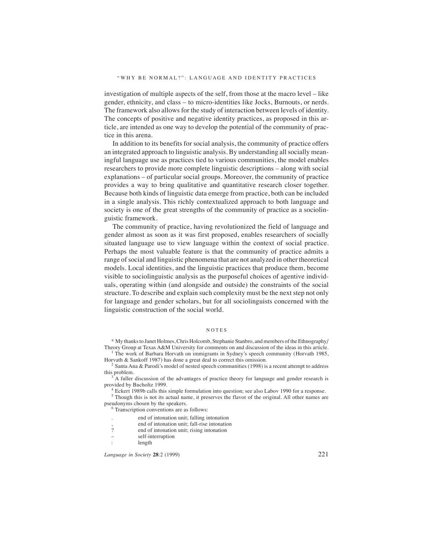investigation of multiple aspects of the self, from those at the macro level – like gender, ethnicity, and class – to micro-identities like Jocks, Burnouts, or nerds. The framework also allows for the study of interaction between levels of identity. The concepts of positive and negative identity practices, as proposed in this article, are intended as one way to develop the potential of the community of practice in this arena.

In addition to its benefits for social analysis, the community of practice offers an integrated approach to linguistic analysis. By understanding all socially meaningful language use as practices tied to various communities, the model enables researchers to provide more complete linguistic descriptions – along with social explanations – of particular social groups. Moreover, the community of practice provides a way to bring qualitative and quantitative research closer together. Because both kinds of linguistic data emerge from practice, both can be included in a single analysis. This richly contextualized approach to both language and society is one of the great strengths of the community of practice as a sociolinguistic framework.

The community of practice, having revolutionized the field of language and gender almost as soon as it was first proposed, enables researchers of socially situated language use to view language within the context of social practice. Perhaps the most valuable feature is that the community of practice admits a range of social and linguistic phenomena that are not analyzed in other theoretical models. Local identities, and the linguistic practices that produce them, become visible to sociolinguistic analysis as the purposeful choices of agentive individuals, operating within (and alongside and outside) the constraints of the social structure. To describe and explain such complexity must be the next step not only for language and gender scholars, but for all sociolinguists concerned with the linguistic construction of the social world.

#### NOTES

\* My thanks to Janet Holmes, Chris Holcomb, Stephanie Stanbro, and members of the Ethnography/

Theory Group at Texas A&M University for comments on and discussion of the ideas in this article.<br><sup>1</sup> The work of Barbara Horvath on immigrants in Sydney's speech community (Horvath 1985, Horvath & Sankoff 1987) has done a

<sup>2</sup> Santa Ana & Parodi's model of nested speech communities (1998) is a recent attempt to address

this problem.<br><sup>3</sup> A fuller discussion of the advantages of practice theory for language and gender research is provided by Bucholtz 1999.

<sup>4</sup> Eckert 1989b calls this simple formulation into question; see also Labov 1990 for a response.

 $5$  Though this is not its actual name, it preserves the flavor of the original. All other names are pseudonyms chosen by the speakers.

 $6$  Transcription conventions are as follows:

- . end of intonation unit; falling intonation
- %, end of intonation unit; fall-rise intonation<br>
2 end of intonation unit; rising intonation
- end of intonation unit; rising intonation
- self-interruption
- : length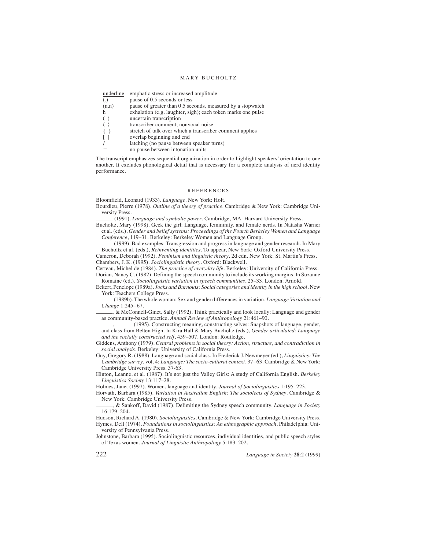#### MARY BUCHOLTZ

| underline         | emphatic stress or increased amplitude                       |
|-------------------|--------------------------------------------------------------|
| $\left( .\right)$ | pause of 0.5 seconds or less                                 |
| (n.n)             | pause of greater than 0.5 seconds, measured by a stopwatch   |
| h                 | exhalation (e.g. laughter, sigh); each token marks one pulse |
|                   | uncertain transcription                                      |
|                   | transcriber comment; nonvocal noise                          |
| ίļ                | stretch of talk over which a transcriber comment applies     |
|                   | overlap beginning and end                                    |
|                   | latching (no pause between speaker turns)                    |
|                   | no pause between intonation units                            |

The transcript emphasizes sequential organization in order to highlight speakers' orientation to one another. It excludes phonological detail that is necessary for a complete analysis of nerd identity performance.

#### **REFERENCES**

Bloomfield, Leonard (1933). *Language*. New York: Holt.

Bourdieu, Pierre (1978). *Outline of a theory of practice*. Cambridge & New York: Cambridge University Press. Bloomfield, Leonard (1933). *Language*. New York: Holt.<br>
Bourdieu, Pierre (1978). *Outline of a theory of practice*. Cambridge & New York: Cambrid<br>
versity Press.<br>
(1991). *Language and symbolic power*. Cambridge, MA: Harv

- Bucholtz, Mary (1998). Geek the girl: Language, femininity, and female nerds. In Natasha Warner et al. (eds.), *Gender and belief systems: Proceedings of the Fourth Berkeley Women and Language Conference*, 119–31. Berkeley: Berkeley Women and Language Group. (1991). *Language and symbolic power*. Cambridge, MA: Harvard University Press.<br>
Iltz, Mary (1998). Geek the girl: Language, femininity, and female nerds. In Natasha Warner<br>
1. (eds.), *Gender and belief systems: Proceedin* 
	- Bucholtz et al. (eds.), *Reinventing identities*. To appear, New York: Oxford University Press.
- Cameron, Deborah (1992). *Feminism and linguistic theory*. 2d edn. New York: St. Martin's Press. Chambers, J. K. (1995). *Sociolinguistic theory*. Oxford: Blackwell.
- Certeau, Michel de (1984). *The practice of everyday life*. Berkeley: University of California Press.
- Dorian, Nancy C. (1982). Defining the speech community to include its working margins. In Suzanne Romaine (ed.), *Sociolinguistic variation in speech communities*, 25–33. London: Arnold.
- Eckert, Penelope (1989a). *Jocks and Burnouts: Social categories and identity in the high school*. New York: Teachers College Press. Extert, Penelope (1989a). Jocks and Burnouts: Social categories and identity in the high school. New Cork: Teachers College Press.<br>Eckert, Penelope (1989a). Jocks and Burnouts: Social categories and identity in the high sc
	- *Change* 1:245– 67. (1989b). The whole woman: Sex and gender differences in variation. Language Variation and
- as community-based practice. *Annual Review of Anthropology* 21:461–90. 5. & McConnell-Ginet, Sally (1992). Think practically and look locally: Language and gender community-based practice. *Annual Review of Anthropology* 21:461–90.<br>
-, (1995). Constructing meaning, constructing selves: Snapsh
- and class from Belten High. In Kira Hall & Mary Bucholtz (eds.), *Gender articulated: Language and the socially constructed self*, 459–507. London: Routledge.
- Giddens, Anthony (1979). *Central problems in social theory: Action, structure, and contradiction in social analysis*. Berkeley: University of California Press.
- Guy, Gregory R. (1988). Language and social class. In Frederick J. Newmeyer (ed.), *Linguistics: The Cambridge survey*, vol. 4: *Language: The socio-cultural context*, 37– 63. Cambridge & New York: Cambridge University Press. 37-63.
- Hinton, Leanne, et al. (1987). It's not just the Valley Girls: A study of California English. *Berkeley Linguistics Society* 13:117–28.
- Holmes, Janet (1997). Women, language and identity. *Journal of Sociolinguistics* 1:195–223.
- Horvath, Barbara (1985). *Variation in Australian English: The sociolects of Sydney*. Cambridge & New York: Cambridge University Press.<br>
Sankoff, David (1987). Delimiting the Sydney speech community. *Language in Society* Language and identity. *Journal of Sociolinguistics* 1:195–223.<br>Horvath, Barbara (1985). *Variation in Australian English: The sociolects of Sydney*. Cambridge &<br>New York: Cambridge University Press.<br>
As Sankoff, David (19
- 16:179–204.

Hudson, Richard A. (1980). *Sociolinguistics*. Cambridge & New York: Cambridge University Press.

- Hymes, Dell (1974). *Foundations in sociolinguistics: An ethnographic approach*. Philadelphia: University of Pennsylvania Press.
- Johnstone, Barbara (1995). Sociolinguistic resources, individual identities, and public speech styles of Texas women. *Journal of Linguistic Anthropology* 5:183–202.